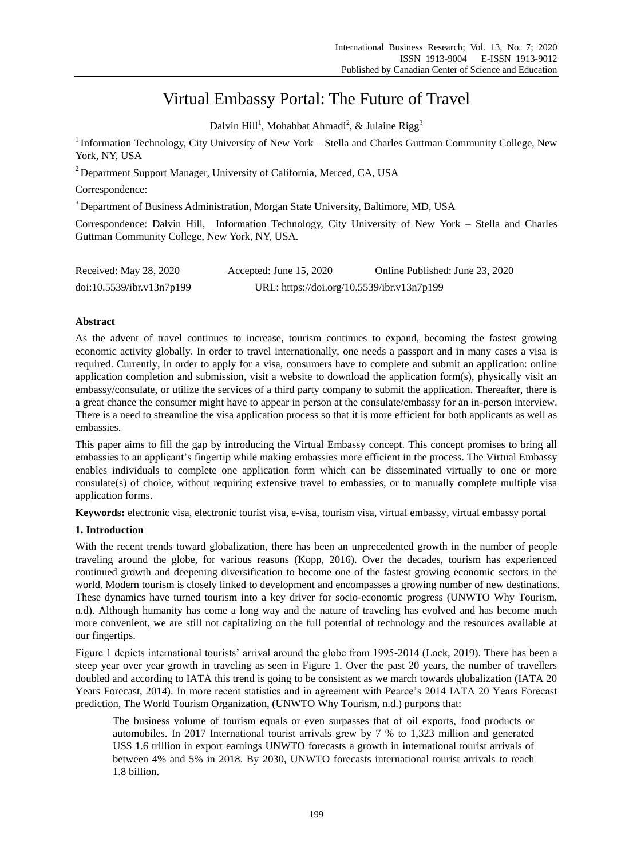# Virtual Embassy Portal: The Future of Travel

Dalvin Hill<sup>1</sup>, Mohabbat Ahmadi<sup>2</sup>, & Julaine Rigg<sup>3</sup>

<sup>1</sup> Information Technology, City University of New York - Stella and Charles Guttman Community College, New York, NY, USA

<sup>2</sup> Department Support Manager, University of California, Merced, CA, USA

Correspondence:

<sup>3</sup> Department of Business Administration, Morgan State University, Baltimore, MD, USA

Correspondence: Dalvin Hill, Information Technology, City University of New York – Stella and Charles Guttman Community College, New York, NY, USA*.*

| Received: May 28, 2020    | Accepted: June $15, 2020$                  | Online Published: June 23, 2020 |
|---------------------------|--------------------------------------------|---------------------------------|
| doi:10.5539/ibr.v13n7p199 | URL: https://doi.org/10.5539/ibr.v13n7p199 |                                 |

## **Abstract**

As the advent of travel continues to increase, tourism continues to expand, becoming the fastest growing economic activity globally. In order to travel internationally, one needs a passport and in many cases a visa is required. Currently, in order to apply for a visa, consumers have to complete and submit an application: online application completion and submission, visit a website to download the application form(s), physically visit an embassy/consulate, or utilize the services of a third party company to submit the application. Thereafter, there is a great chance the consumer might have to appear in person at the consulate/embassy for an in-person interview. There is a need to streamline the visa application process so that it is more efficient for both applicants as well as embassies.

This paper aims to fill the gap by introducing the Virtual Embassy concept. This concept promises to bring all embassies to an applicant's fingertip while making embassies more efficient in the process. The Virtual Embassy enables individuals to complete one application form which can be disseminated virtually to one or more consulate(s) of choice, without requiring extensive travel to embassies, or to manually complete multiple visa application forms.

**Keywords:** electronic visa, electronic tourist visa, e-visa, tourism visa, virtual embassy, virtual embassy portal

## **1. Introduction**

With the recent trends toward globalization, there has been an unprecedented growth in the number of people traveling around the globe, for various reasons (Kopp, 2016). Over the decades, tourism has experienced continued growth and deepening diversification to become one of the fastest growing economic sectors in the world. Modern tourism is closely linked to development and encompasses a growing number of new destinations. These dynamics have turned tourism into a key driver for socio-economic progress (UNWTO Why Tourism, n.d). Although humanity has come a long way and the nature of traveling has evolved and has become much more convenient, we are still not capitalizing on the full potential of technology and the resources available at our fingertips.

Figure 1 depicts international tourists' arrival around the globe from 1995-2014 (Lock, 2019). There has been a steep year over year growth in traveling as seen in Figure 1. Over the past 20 years, the number of travellers doubled and according to IATA this trend is going to be consistent as we march towards globalization (IATA 20 Years Forecast, 2014). In more recent statistics and in agreement with Pearce's 2014 IATA 20 Years Forecast prediction, The World Tourism Organization, (UNWTO Why Tourism, n.d.) purports that:

The business volume of tourism equals or even surpasses that of oil exports, food products or automobiles. In 2017 International tourist arrivals grew by 7 % to 1,323 million and generated US\$ 1.6 trillion in export earnings UNWTO forecasts a growth in international tourist arrivals of between 4% and 5% in 2018. By 2030, UNWTO forecasts international tourist arrivals to reach 1.8 billion.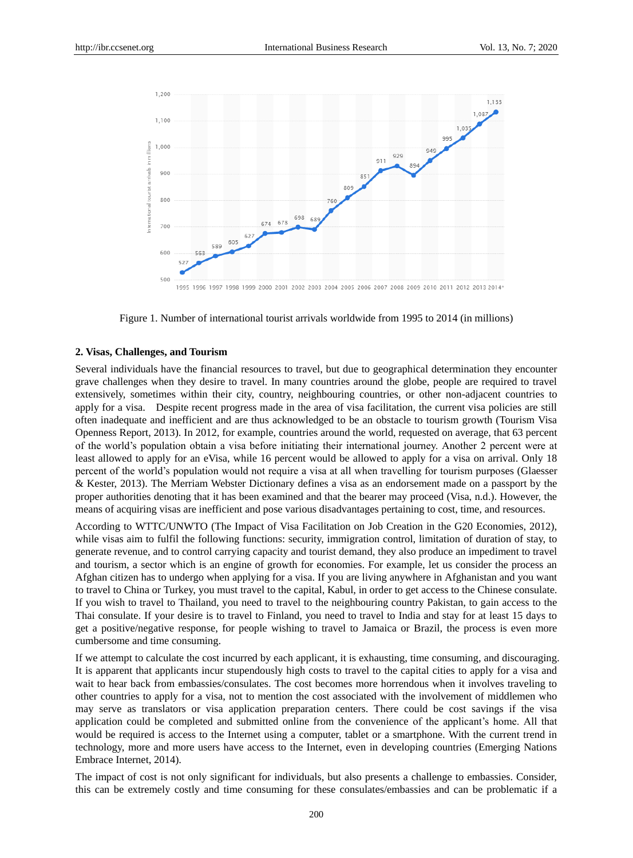

Figure 1. Number of international tourist arrivals worldwide from 1995 to 2014 (in millions)

#### **2. Visas, Challenges, and Tourism**

Several individuals have the financial resources to travel, but due to geographical determination they encounter grave challenges when they desire to travel. In many countries around the globe, people are required to travel extensively, sometimes within their city, country, neighbouring countries, or other non-adjacent countries to apply for a visa. Despite recent progress made in the area of visa facilitation, the current visa policies are still often inadequate and inefficient and are thus acknowledged to be an obstacle to tourism growth (Tourism Visa Openness Report, 2013). In 2012, for example, countries around the world, requested on average, that 63 percent of the world's population obtain a visa before initiating their international journey. Another 2 percent were at least allowed to apply for an eVisa, while 16 percent would be allowed to apply for a visa on arrival. Only 18 percent of the world's population would not require a visa at all when travelling for tourism purposes (Glaesser & Kester, 2013). The Merriam Webster Dictionary defines a visa as an endorsement made on a passport by the proper authorities denoting that it has been examined and that the bearer may proceed (Visa, n.d.). However, the means of acquiring visas are inefficient and pose various disadvantages pertaining to cost, time, and resources.

According to WTTC/UNWTO (The Impact of Visa Facilitation on Job Creation in the G20 Economies, 2012), while visas aim to fulfil the following functions: security, immigration control, limitation of duration of stay, to generate revenue, and to control carrying capacity and tourist demand, they also produce an impediment to travel and tourism, a sector which is an engine of growth for economies. For example, let us consider the process an Afghan citizen has to undergo when applying for a visa. If you are living anywhere in Afghanistan and you want to travel to China or Turkey, you must travel to the capital, Kabul, in order to get access to the Chinese consulate. If you wish to travel to Thailand, you need to travel to the neighbouring country Pakistan, to gain access to the Thai consulate. If your desire is to travel to Finland, you need to travel to India and stay for at least 15 days to get a positive/negative response, for people wishing to travel to Jamaica or Brazil, the process is even more cumbersome and time consuming.

If we attempt to calculate the cost incurred by each applicant, it is exhausting, time consuming, and discouraging. It is apparent that applicants incur stupendously high costs to travel to the capital cities to apply for a visa and wait to hear back from embassies/consulates. The cost becomes more horrendous when it involves traveling to other countries to apply for a visa, not to mention the cost associated with the involvement of middlemen who may serve as translators or visa application preparation centers. There could be cost savings if the visa application could be completed and submitted online from the convenience of the applicant's home. All that would be required is access to the Internet using a computer, tablet or a smartphone. With the current trend in technology, more and more users have access to the Internet, even in developing countries (Emerging Nations Embrace Internet, 2014).

The impact of cost is not only significant for individuals, but also presents a challenge to embassies. Consider, this can be extremely costly and time consuming for these consulates/embassies and can be problematic if a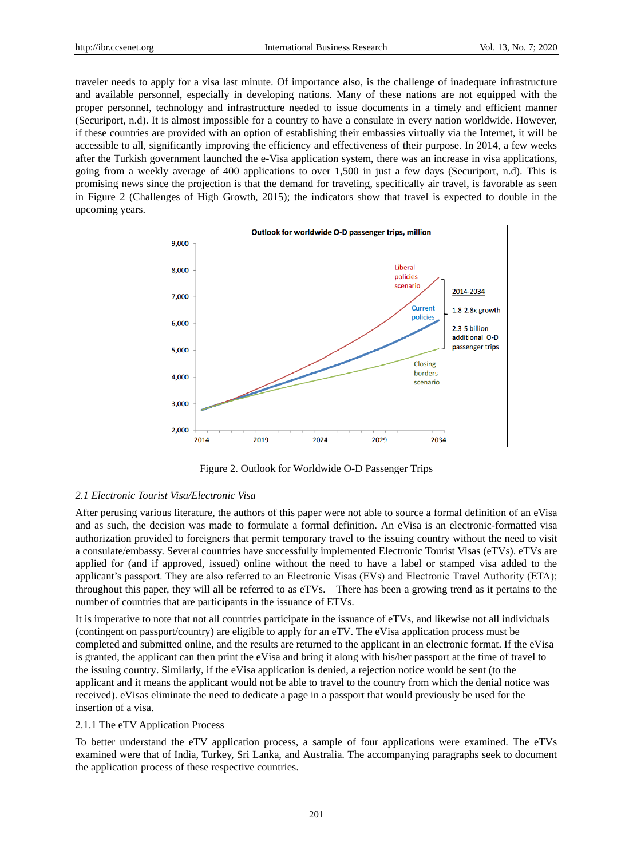traveler needs to apply for a visa last minute. Of importance also, is the challenge of inadequate infrastructure and available personnel, especially in developing nations. Many of these nations are not equipped with the proper personnel, technology and infrastructure needed to issue documents in a timely and efficient manner (Securiport, n.d). It is almost impossible for a country to have a consulate in every nation worldwide. However, if these countries are provided with an option of establishing their embassies virtually via the Internet, it will be accessible to all, significantly improving the efficiency and effectiveness of their purpose. In 2014, a few weeks after the Turkish government launched the e-Visa application system, there was an increase in visa applications, going from a weekly average of 400 applications to over 1,500 in just a few days (Securiport, n.d). This is promising news since the projection is that the demand for traveling, specifically air travel, is favorable as seen in Figure 2 (Challenges of High Growth, 2015); the indicators show that travel is expected to double in the upcoming years.



Figure 2. Outlook for Worldwide O-D Passenger Trips

#### *2.1 Electronic Tourist Visa/Electronic Visa*

After perusing various literature, the authors of this paper were not able to source a formal definition of an eVisa and as such, the decision was made to formulate a formal definition. An eVisa is an electronic-formatted visa authorization provided to foreigners that permit temporary travel to the issuing country without the need to visit a consulate/embassy. Several countries have successfully implemented Electronic Tourist Visas (eTVs). eTVs are applied for (and if approved, issued) online without the need to have a label or stamped visa added to the applicant's passport. They are also referred to an Electronic Visas (EVs) and Electronic Travel Authority (ETA); throughout this paper, they will all be referred to as eTVs. There has been a growing trend as it pertains to the number of countries that are participants in the issuance of ETVs.

It is imperative to note that not all countries participate in the issuance of eTVs, and likewise not all individuals (contingent on passport/country) are eligible to apply for an eTV. The eVisa application process must be completed and submitted online, and the results are returned to the applicant in an electronic format. If the eVisa is granted, the applicant can then print the eVisa and bring it along with his/her passport at the time of travel to the issuing country. Similarly, if the eVisa application is denied, a rejection notice would be sent (to the applicant and it means the applicant would not be able to travel to the country from which the denial notice was received). eVisas eliminate the need to dedicate a page in a passport that would previously be used for the insertion of a visa.

#### 2.1.1 The eTV Application Process

To better understand the eTV application process, a sample of four applications were examined. The eTVs examined were that of India, Turkey, Sri Lanka, and Australia. The accompanying paragraphs seek to document the application process of these respective countries.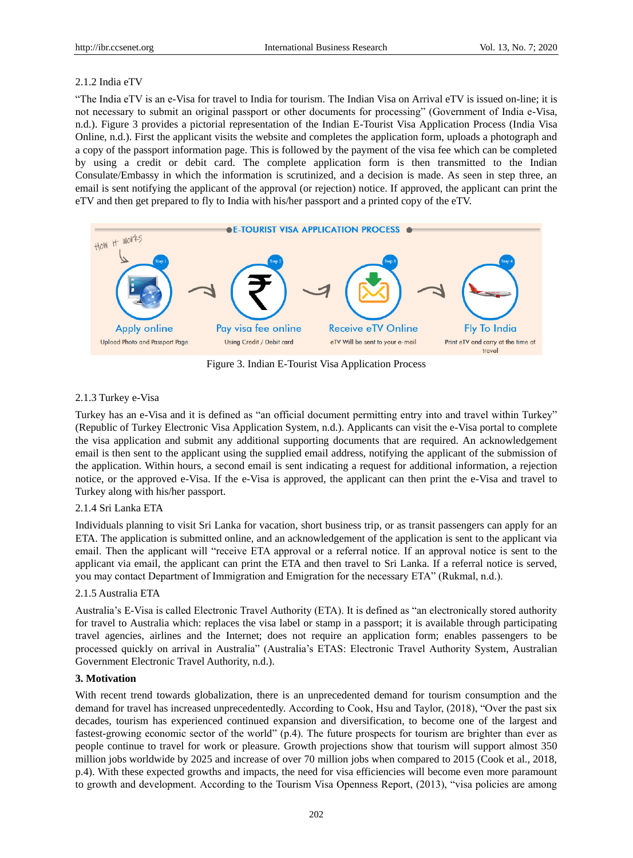## 2.1.2 India eTV

"The India eTV is an e-Visa for travel to India for tourism. The Indian Visa on Arrival eTV is issued on-line; it is not necessary to submit an original passport or other documents for processing" (Government of India e-Visa, n.d.). Figure 3 provides a pictorial representation of the Indian E-Tourist Visa Application Process (India Visa Online, n.d.). First the applicant visits the website and completes the application form, uploads a photograph and a copy of the passport information page. This is followed by the payment of the visa fee which can be completed by using a credit or debit card. The complete application form is then transmitted to the Indian Consulate/Embassy in which the information is scrutinized, and a decision is made. As seen in step three, an email is sent notifying the applicant of the approval (or rejection) notice. If approved, the applicant can print the eTV and then get prepared to fly to India with his/her passport and a printed copy of the eTV.



Figure 3. Indian E-Tourist Visa Application Process

## 2.1.3 Turkey e-Visa

Turkey has an e-Visa and it is defined as "an official document permitting entry into and travel within Turkey" (Republic of Turkey Electronic Visa Application System, n.d.). Applicants can visit the e-Visa portal to complete the visa application and submit any additional supporting documents that are required. An acknowledgement email is then sent to the applicant using the supplied email address, notifying the applicant of the submission of the application. Within hours, a second email is sent indicating a request for additional information, a rejection notice, or the approved e-Visa. If the e-Visa is approved, the applicant can then print the e-Visa and travel to Turkey along with his/her passport.

## 2.1.4 Sri Lanka ETA

Individuals planning to visit Sri Lanka for vacation, short business trip, or as transit passengers can apply for an ETA. The application is submitted online, and an acknowledgement of the application is sent to the applicant via email. Then the applicant will "receive ETA approval or a referral notice. If an approval notice is sent to the applicant via email, the applicant can print the ETA and then travel to Sri Lanka. If a referral notice is served, you may contact Department of Immigration and Emigration for the necessary ETA" (Rukmal, n.d.).

## 2.1.5 Australia ETA

Australia's E-Visa is called Electronic Travel Authority (ETA). It is defined as "an electronically stored authority for travel to Australia which: replaces the visa label or stamp in a passport; it is available through participating travel agencies, airlines and the Internet; does not require an application form; enables passengers to be processed quickly on arrival in Australia" (Australia's ETAS: Electronic Travel Authority System, Australian Government Electronic Travel Authority, n.d.).

## **3. Motivation**

With recent trend towards globalization, there is an unprecedented demand for tourism consumption and the demand for travel has increased unprecedentedly. According to Cook, Hsu and Taylor, (2018), "Over the past six decades, tourism has experienced continued expansion and diversification, to become one of the largest and fastest-growing economic sector of the world" (p.4). The future prospects for tourism are brighter than ever as people continue to travel for work or pleasure. Growth projections show that tourism will support almost 350 million jobs worldwide by 2025 and increase of over 70 million jobs when compared to 2015 (Cook et al., 2018, p.4). With these expected growths and impacts, the need for visa efficiencies will become even more paramount to growth and development. According to the Tourism Visa Openness Report, (2013), "visa policies are among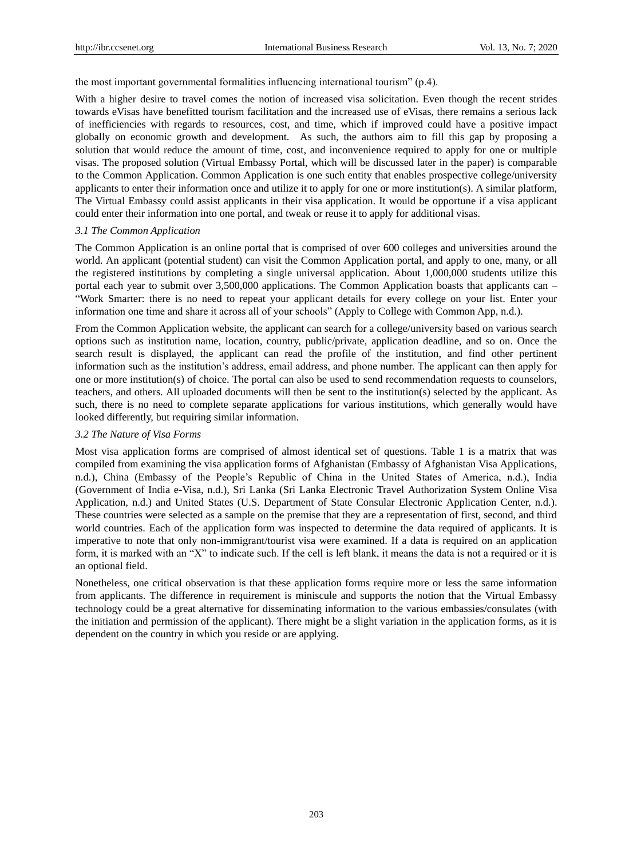the most important governmental formalities influencing international tourism" (p.4).

With a higher desire to travel comes the notion of increased visa solicitation. Even though the recent strides towards eVisas have benefitted tourism facilitation and the increased use of eVisas, there remains a serious lack of inefficiencies with regards to resources, cost, and time, which if improved could have a positive impact globally on economic growth and development. As such, the authors aim to fill this gap by proposing a solution that would reduce the amount of time, cost, and inconvenience required to apply for one or multiple visas. The proposed solution (Virtual Embassy Portal, which will be discussed later in the paper) is comparable to the Common Application. Common Application is one such entity that enables prospective college/university applicants to enter their information once and utilize it to apply for one or more institution(s). A similar platform, The Virtual Embassy could assist applicants in their visa application. It would be opportune if a visa applicant could enter their information into one portal, and tweak or reuse it to apply for additional visas.

#### *3.1 The Common Application*

The Common Application is an online portal that is comprised of over 600 colleges and universities around the world. An applicant (potential student) can visit the Common Application portal, and apply to one, many, or all the registered institutions by completing a single universal application. About 1,000,000 students utilize this portal each year to submit over 3,500,000 applications. The Common Application boasts that applicants can – "Work Smarter: there is no need to repeat your applicant details for every college on your list. Enter your information one time and share it across all of your schools" (Apply to College with Common App, n.d.).

From the Common Application website, the applicant can search for a college/university based on various search options such as institution name, location, country, public/private, application deadline, and so on. Once the search result is displayed, the applicant can read the profile of the institution, and find other pertinent information such as the institution's address, email address, and phone number. The applicant can then apply for one or more institution(s) of choice. The portal can also be used to send recommendation requests to counselors, teachers, and others. All uploaded documents will then be sent to the institution(s) selected by the applicant. As such, there is no need to complete separate applications for various institutions, which generally would have looked differently, but requiring similar information.

### *3.2 The Nature of Visa Forms*

Most visa application forms are comprised of almost identical set of questions. Table 1 is a matrix that was compiled from examining the visa application forms of Afghanistan (Embassy of Afghanistan Visa Applications, n.d.), China (Embassy of the People's Republic of China in the United States of America, n.d.), India (Government of India e-Visa, n.d.), Sri Lanka (Sri Lanka Electronic Travel Authorization System Online Visa Application, n.d.) and United States (U.S. Department of State Consular Electronic Application Center, n.d.). These countries were selected as a sample on the premise that they are a representation of first, second, and third world countries. Each of the application form was inspected to determine the data required of applicants. It is imperative to note that only non-immigrant/tourist visa were examined. If a data is required on an application form, it is marked with an "X" to indicate such. If the cell is left blank, it means the data is not a required or it is an optional field.

Nonetheless, one critical observation is that these application forms require more or less the same information from applicants. The difference in requirement is miniscule and supports the notion that the Virtual Embassy technology could be a great alternative for disseminating information to the various embassies/consulates (with the initiation and permission of the applicant). There might be a slight variation in the application forms, as it is dependent on the country in which you reside or are applying.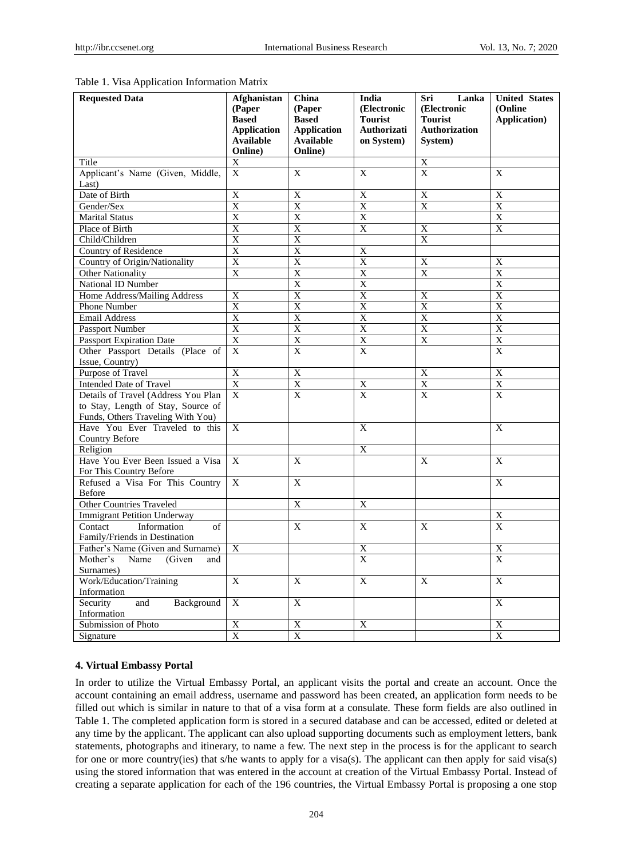| <b>Requested Data</b>                                                   | <b>Afghanistan</b><br>(Paper | China<br>(Paper           | India<br>(Electronic             | Sri<br>Lanka<br>(Electronic      | <b>United States</b><br>(Online) |
|-------------------------------------------------------------------------|------------------------------|---------------------------|----------------------------------|----------------------------------|----------------------------------|
|                                                                         | <b>Based</b>                 | <b>Based</b>              | <b>Tourist</b>                   | <b>Tourist</b>                   | <b>Application</b> )             |
|                                                                         | <b>Application</b>           | <b>Application</b>        | Authorizati                      | <b>Authorization</b>             |                                  |
|                                                                         | <b>Available</b>             | <b>Available</b>          | on System)                       | System)                          |                                  |
|                                                                         | Online)                      | Online)                   |                                  |                                  |                                  |
| Title                                                                   | X                            |                           |                                  | X                                |                                  |
| Applicant's Name (Given, Middle,                                        | $\mathbf{X}$                 | X                         | $\mathbf{X}$                     | $\overline{X}$                   | X                                |
| Last)                                                                   |                              |                           |                                  |                                  |                                  |
| Date of Birth                                                           | $\overline{X}$               | X                         | X                                | X                                | X                                |
| Gender/Sex                                                              | $\overline{X}$               | X                         | $\mathbf X$                      | X                                | X                                |
| <b>Marital Status</b>                                                   | $\overline{X}$               | $\overline{X}$            | $\overline{X}$                   |                                  | $\overline{X}$                   |
| Place of Birth                                                          | $\overline{X}$               | $\boldsymbol{\mathrm{X}}$ | X                                | $\overline{X}$                   | X                                |
| Child/Children                                                          | $\overline{X}$               | $\overline{X}$            |                                  | $\overline{X}$                   |                                  |
| Country of Residence                                                    | $\overline{X}$               | X                         | $\overline{X}$                   |                                  |                                  |
| Country of Origin/Nationality                                           | $\overline{X}$               | X                         | $\overline{X}$                   | X                                | X                                |
| Other Nationality                                                       | X                            | X                         | X                                | X                                | X                                |
| National ID Number                                                      |                              | X                         | X                                |                                  | $\overline{X}$                   |
| Home Address/Mailing Address                                            | $\mathbf X$                  | X                         | X                                | $\mathbf X$                      | X                                |
| Phone Number                                                            | X                            | X                         | X                                | X                                | $\overline{X}$                   |
| <b>Email Address</b>                                                    | $\overline{X}$               | $\overline{X}$            | $\overline{X}$                   | $\overline{X}$                   | $\overline{X}$                   |
| Passport Number                                                         | $\overline{X}$               | $\overline{X}$            | $\overline{X}$                   | $\overline{X}$                   | $\overline{X}$                   |
| <b>Passport Expiration Date</b>                                         | X                            | X                         | X                                | X                                | X                                |
| Other Passport Details (Place of                                        | $\mathbf X$                  | $\mathbf X$               | $\mathbf{x}$                     |                                  | $\mathbf{x}$                     |
| Issue, Country)                                                         | $\overline{X}$               |                           |                                  | $\overline{X}$                   | $\overline{X}$                   |
| Purpose of Travel                                                       |                              | $\overline{X}$            |                                  |                                  |                                  |
| <b>Intended Date of Travel</b><br>Details of Travel (Address You Plan   | X<br>$\mathbf{X}$            | $\overline{X}$            | $\overline{X}$<br>$\overline{X}$ | $\overline{X}$<br>$\overline{X}$ | $\overline{X}$<br>$\overline{X}$ |
|                                                                         |                              | $\mathbf X$               |                                  |                                  |                                  |
| to Stay, Length of Stay, Source of<br>Funds, Others Traveling With You) |                              |                           |                                  |                                  |                                  |
| Have You Ever Traveled to this                                          | X                            |                           | $\boldsymbol{\mathrm{X}}$        |                                  | $\mathbf X$                      |
| Country Before                                                          |                              |                           |                                  |                                  |                                  |
| Religion                                                                |                              |                           | X                                |                                  |                                  |
| Have You Ever Been Issued a Visa                                        | $\mathbf{x}$                 | X                         |                                  | X                                | X                                |
| For This Country Before                                                 |                              |                           |                                  |                                  |                                  |
| Refused a Visa For This Country                                         | $\mathbf{X}$                 | X                         |                                  |                                  | X                                |
| Before                                                                  |                              |                           |                                  |                                  |                                  |
| <b>Other Countries Traveled</b>                                         |                              | X                         | X                                |                                  |                                  |
| <b>Immigrant Petition Underway</b>                                      |                              |                           |                                  |                                  | $\overline{X}$                   |
| Contact<br>Information<br>of                                            |                              | $\mathbf{X}$              | $\mathbf{X}$                     | $\mathbf{X}$                     | $\overline{\mathrm{X}}$          |
| Family/Friends in Destination                                           |                              |                           |                                  |                                  |                                  |
| Father's Name (Given and Surname)                                       | X                            |                           | X                                |                                  | X                                |
| (Given<br>Mother's<br>Name<br>and                                       |                              |                           | $\overline{X}$                   |                                  | $\mathbf{x}$                     |
| Surnames)                                                               |                              |                           |                                  |                                  |                                  |
| Work/Education/Training                                                 | X                            | X                         | X                                | X                                | X                                |
| Information                                                             |                              |                           |                                  |                                  |                                  |
| Security<br>and<br>Background                                           | X                            | X                         |                                  |                                  | X                                |
| Information                                                             |                              |                           |                                  |                                  |                                  |
| Submission of Photo                                                     | $\overline{X}$               | $\overline{X}$            | X                                |                                  | X                                |
| Signature                                                               | X                            | X                         |                                  |                                  | X                                |

#### Table 1. Visa Application Information Matrix

#### **4. Virtual Embassy Portal**

In order to utilize the Virtual Embassy Portal, an applicant visits the portal and create an account. Once the account containing an email address, username and password has been created, an application form needs to be filled out which is similar in nature to that of a visa form at a consulate. These form fields are also outlined in Table 1. The completed application form is stored in a secured database and can be accessed, edited or deleted at any time by the applicant. The applicant can also upload supporting documents such as employment letters, bank statements, photographs and itinerary, to name a few. The next step in the process is for the applicant to search for one or more country(ies) that s/he wants to apply for a visa(s). The applicant can then apply for said visa(s) using the stored information that was entered in the account at creation of the Virtual Embassy Portal. Instead of creating a separate application for each of the 196 countries, the Virtual Embassy Portal is proposing a one stop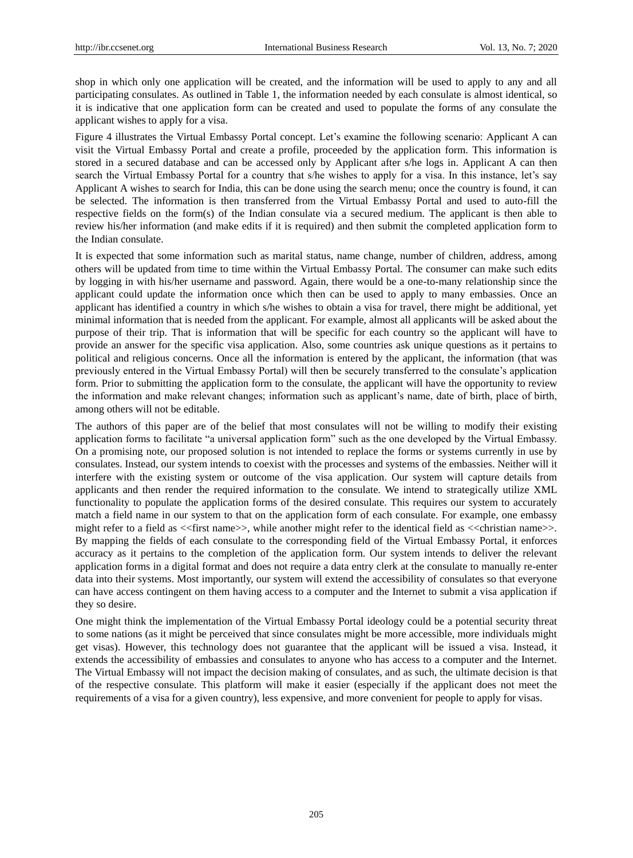shop in which only one application will be created, and the information will be used to apply to any and all participating consulates. As outlined in Table 1, the information needed by each consulate is almost identical, so it is indicative that one application form can be created and used to populate the forms of any consulate the applicant wishes to apply for a visa.

Figure 4 illustrates the Virtual Embassy Portal concept. Let's examine the following scenario: Applicant A can visit the Virtual Embassy Portal and create a profile, proceeded by the application form. This information is stored in a secured database and can be accessed only by Applicant after s/he logs in. Applicant A can then search the Virtual Embassy Portal for a country that s/he wishes to apply for a visa. In this instance, let's say Applicant A wishes to search for India, this can be done using the search menu; once the country is found, it can be selected. The information is then transferred from the Virtual Embassy Portal and used to auto-fill the respective fields on the form(s) of the Indian consulate via a secured medium. The applicant is then able to review his/her information (and make edits if it is required) and then submit the completed application form to the Indian consulate.

It is expected that some information such as marital status, name change, number of children, address, among others will be updated from time to time within the Virtual Embassy Portal. The consumer can make such edits by logging in with his/her username and password. Again, there would be a one-to-many relationship since the applicant could update the information once which then can be used to apply to many embassies. Once an applicant has identified a country in which s/he wishes to obtain a visa for travel, there might be additional, yet minimal information that is needed from the applicant. For example, almost all applicants will be asked about the purpose of their trip. That is information that will be specific for each country so the applicant will have to provide an answer for the specific visa application. Also, some countries ask unique questions as it pertains to political and religious concerns. Once all the information is entered by the applicant, the information (that was previously entered in the Virtual Embassy Portal) will then be securely transferred to the consulate's application form. Prior to submitting the application form to the consulate, the applicant will have the opportunity to review the information and make relevant changes; information such as applicant's name, date of birth, place of birth, among others will not be editable.

The authors of this paper are of the belief that most consulates will not be willing to modify their existing application forms to facilitate "a universal application form" such as the one developed by the Virtual Embassy. On a promising note, our proposed solution is not intended to replace the forms or systems currently in use by consulates. Instead, our system intends to coexist with the processes and systems of the embassies. Neither will it interfere with the existing system or outcome of the visa application. Our system will capture details from applicants and then render the required information to the consulate. We intend to strategically utilize XML functionality to populate the application forms of the desired consulate. This requires our system to accurately match a field name in our system to that on the application form of each consulate. For example, one embassy might refer to a field as <<first name>>, while another might refer to the identical field as <<christian name>>. By mapping the fields of each consulate to the corresponding field of the Virtual Embassy Portal, it enforces accuracy as it pertains to the completion of the application form. Our system intends to deliver the relevant application forms in a digital format and does not require a data entry clerk at the consulate to manually re-enter data into their systems. Most importantly, our system will extend the accessibility of consulates so that everyone can have access contingent on them having access to a computer and the Internet to submit a visa application if they so desire.

One might think the implementation of the Virtual Embassy Portal ideology could be a potential security threat to some nations (as it might be perceived that since consulates might be more accessible, more individuals might get visas). However, this technology does not guarantee that the applicant will be issued a visa. Instead, it extends the accessibility of embassies and consulates to anyone who has access to a computer and the Internet. The Virtual Embassy will not impact the decision making of consulates, and as such, the ultimate decision is that of the respective consulate. This platform will make it easier (especially if the applicant does not meet the requirements of a visa for a given country), less expensive, and more convenient for people to apply for visas.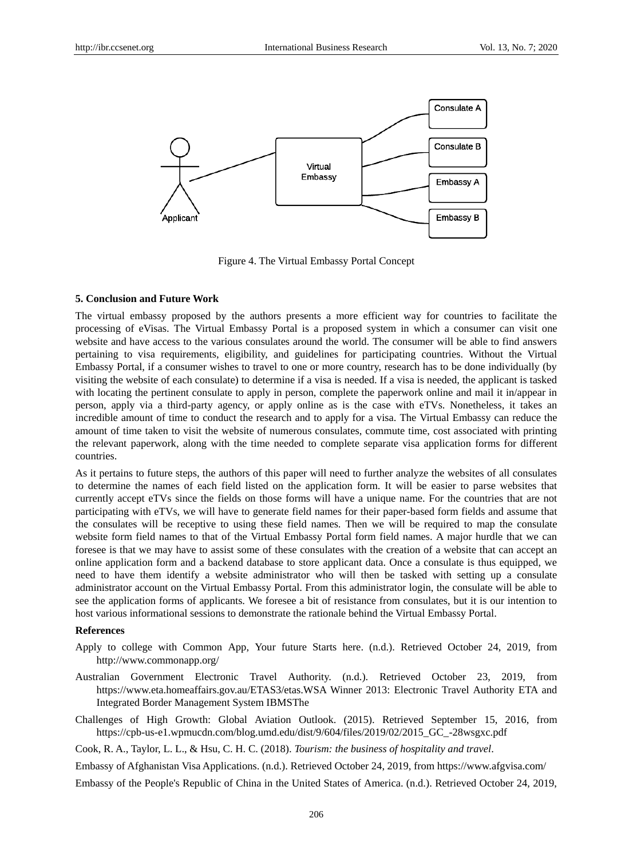

Figure 4. The Virtual Embassy Portal Concept

#### **5. Conclusion and Future Work**

The virtual embassy proposed by the authors presents a more efficient way for countries to facilitate the processing of eVisas. The Virtual Embassy Portal is a proposed system in which a consumer can visit one website and have access to the various consulates around the world. The consumer will be able to find answers pertaining to visa requirements, eligibility, and guidelines for participating countries. Without the Virtual Embassy Portal, if a consumer wishes to travel to one or more country, research has to be done individually (by visiting the website of each consulate) to determine if a visa is needed. If a visa is needed, the applicant is tasked with locating the pertinent consulate to apply in person, complete the paperwork online and mail it in/appear in person, apply via a third-party agency, or apply online as is the case with eTVs. Nonetheless, it takes an incredible amount of time to conduct the research and to apply for a visa. The Virtual Embassy can reduce the amount of time taken to visit the website of numerous consulates, commute time, cost associated with printing the relevant paperwork, along with the time needed to complete separate visa application forms for different countries.

As it pertains to future steps, the authors of this paper will need to further analyze the websites of all consulates to determine the names of each field listed on the application form. It will be easier to parse websites that currently accept eTVs since the fields on those forms will have a unique name. For the countries that are not participating with eTVs, we will have to generate field names for their paper-based form fields and assume that the consulates will be receptive to using these field names. Then we will be required to map the consulate website form field names to that of the Virtual Embassy Portal form field names. A major hurdle that we can foresee is that we may have to assist some of these consulates with the creation of a website that can accept an online application form and a backend database to store applicant data. Once a consulate is thus equipped, we need to have them identify a website administrator who will then be tasked with setting up a consulate administrator account on the Virtual Embassy Portal. From this administrator login, the consulate will be able to see the application forms of applicants. We foresee a bit of resistance from consulates, but it is our intention to host various informational sessions to demonstrate the rationale behind the Virtual Embassy Portal.

### **References**

- Apply to college with Common App, Your future Starts here. (n.d.). Retrieved October 24, 2019, from http://www.commonapp.org/
- Australian Government Electronic Travel Authority. (n.d.). Retrieved October 23, 2019, from https://www.eta.homeaffairs.gov.au/ETAS3/etas.WSA Winner 2013: Electronic Travel Authority ETA and Integrated Border Management System IBMSThe
- Challenges of High Growth: Global Aviation Outlook. (2015). Retrieved September 15, 2016, from https://cpb-us-e1.wpmucdn.com/blog.umd.edu/dist/9/604/files/2019/02/2015\_GC\_-28wsgxc.pdf

Cook, R. A., Taylor, L. L., & Hsu, C. H. C. (2018). *Tourism: the business of hospitality and travel*.

Embassy of Afghanistan Visa Applications. (n.d.). Retrieved October 24, 2019, from https://www.afgvisa.com/

Embassy of the People's Republic of China in the United States of America. (n.d.). Retrieved October 24, 2019,